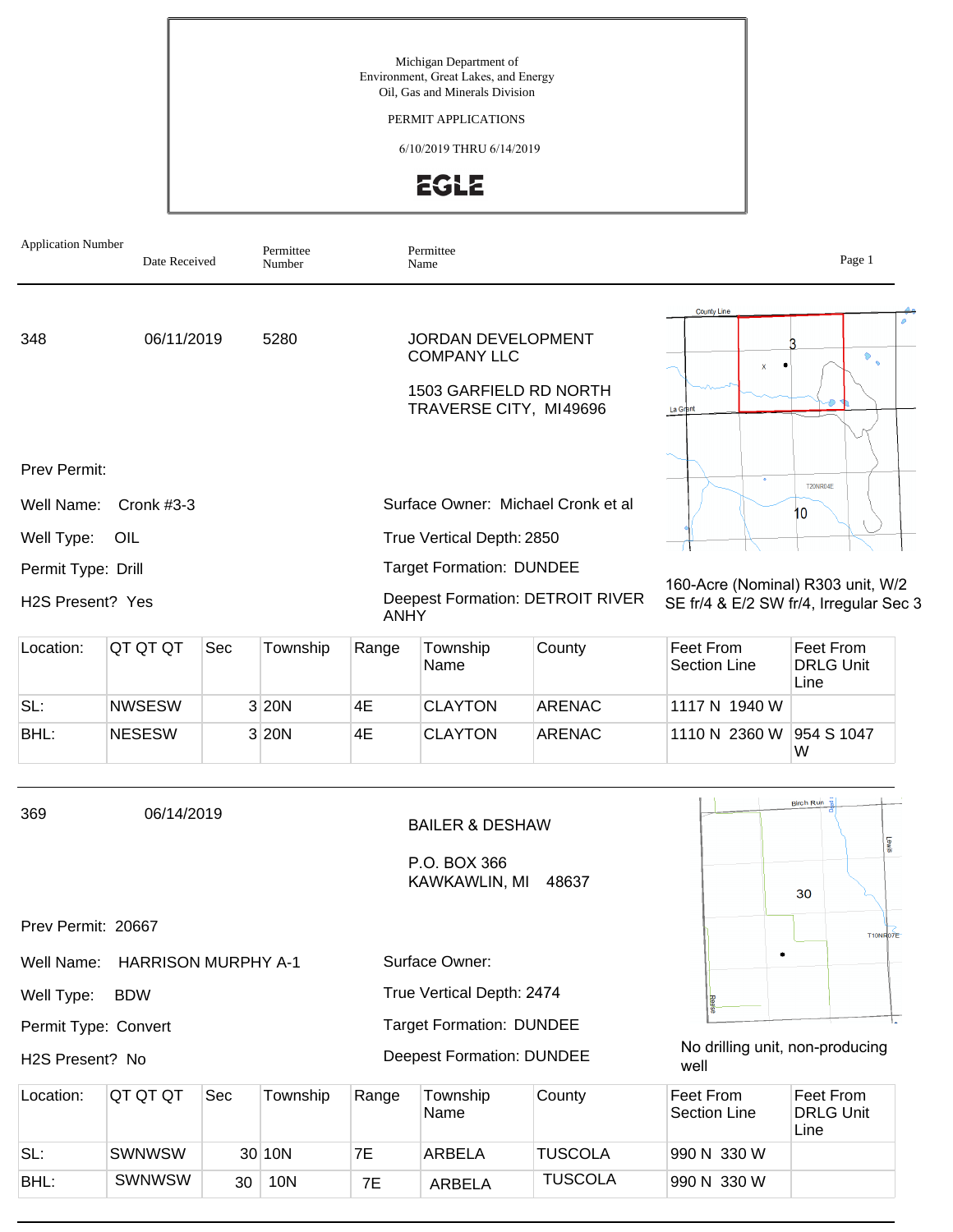Michigan Department of Environment, Great Lakes, and Energy Oil, Gas and Minerals Division

PERMIT APPLICATIONS

6/10/2019 THRU 6/14/2019



| <b>Application Number</b>                               | Date Received              |     | Permittee<br>Number |             | Permittee<br>Name                                                                            |                                         |                                                  | Page 1                                                                      |  |
|---------------------------------------------------------|----------------------------|-----|---------------------|-------------|----------------------------------------------------------------------------------------------|-----------------------------------------|--------------------------------------------------|-----------------------------------------------------------------------------|--|
| 06/11/2019<br>5280<br>348                               |                            |     |                     |             | JORDAN DEVELOPMENT<br><b>COMPANY LLC</b><br>1503 GARFIELD RD NORTH<br>TRAVERSE CITY, MI49696 |                                         | <b>County Line</b><br>$\bullet$<br>x<br>La Grant |                                                                             |  |
| Prev Permit:<br>Well Name:                              | Cronk $#3-3$               |     |                     |             | Surface Owner: Michael Cronk et al                                                           |                                         |                                                  | <b>T20NR04E</b><br>10                                                       |  |
| Well Type:                                              | OIL                        |     |                     |             | True Vertical Depth: 2850                                                                    |                                         |                                                  |                                                                             |  |
| Permit Type: Drill<br>H <sub>2</sub> S Present? Yes     |                            |     |                     | <b>ANHY</b> | <b>Target Formation: DUNDEE</b>                                                              | <b>Deepest Formation: DETROIT RIVER</b> |                                                  | 160-Acre (Nominal) R303 unit, W/2<br>SE fr/4 & E/2 SW fr/4, Irregular Sec 3 |  |
| Location:                                               | QT QT QT                   | Sec | Township            | Range       | Township<br>Name                                                                             | County                                  | Feet From<br><b>Section Line</b>                 | Feet From<br><b>DRLG Unit</b><br>Line                                       |  |
| SL:                                                     | <b>NWSESW</b>              |     | 3 20N               | 4E          | <b>CLAYTON</b>                                                                               | <b>ARENAC</b>                           | 1117 N 1940 W                                    |                                                                             |  |
| BHL:                                                    | <b>NESESW</b>              |     | 3 20N               | 4E          | <b>CLAYTON</b>                                                                               | <b>ARENAC</b>                           | 1110 N 2360 W                                    | 954 S 1047<br>W                                                             |  |
| 369                                                     | 06/14/2019                 |     |                     |             | <b>BAILER &amp; DESHAW</b><br>P.O. BOX 366<br>KAWKAWLIN, MI                                  | 48637                                   |                                                  | Birch Run B<br>Fews<br>30                                                   |  |
| Prev Permit: 20667                                      |                            |     |                     |             |                                                                                              |                                         |                                                  | T10NR07E                                                                    |  |
| Well Name:                                              | <b>HARRISON MURPHY A-1</b> |     |                     |             | Surface Owner:                                                                               |                                         |                                                  |                                                                             |  |
| True Vertical Depth: 2474<br>Well Type:<br><b>BDW</b>   |                            |     |                     |             |                                                                                              |                                         |                                                  |                                                                             |  |
| <b>Target Formation: DUNDEE</b><br>Permit Type: Convert |                            |     |                     |             |                                                                                              |                                         |                                                  |                                                                             |  |
| H2S Present? No                                         |                            |     |                     |             | <b>Deepest Formation: DUNDEE</b>                                                             |                                         | No drilling unit, non-producing<br>well          |                                                                             |  |
| Location:                                               | QT QT QT                   | Sec | Township            | Range       | Township<br>Name                                                                             | County                                  | <b>Feet From</b><br>Section Line                 | Feet From<br><b>DRLG Unit</b><br>Line                                       |  |
| SL:                                                     | <b>SWNWSW</b>              |     | 30 10N              | 7E          | ARBELA                                                                                       | <b>TUSCOLA</b>                          | 990 N 330 W                                      |                                                                             |  |

SWNWSW 30 10N 7E ARBELA TUSCOLA 990 N 330 W

BHL: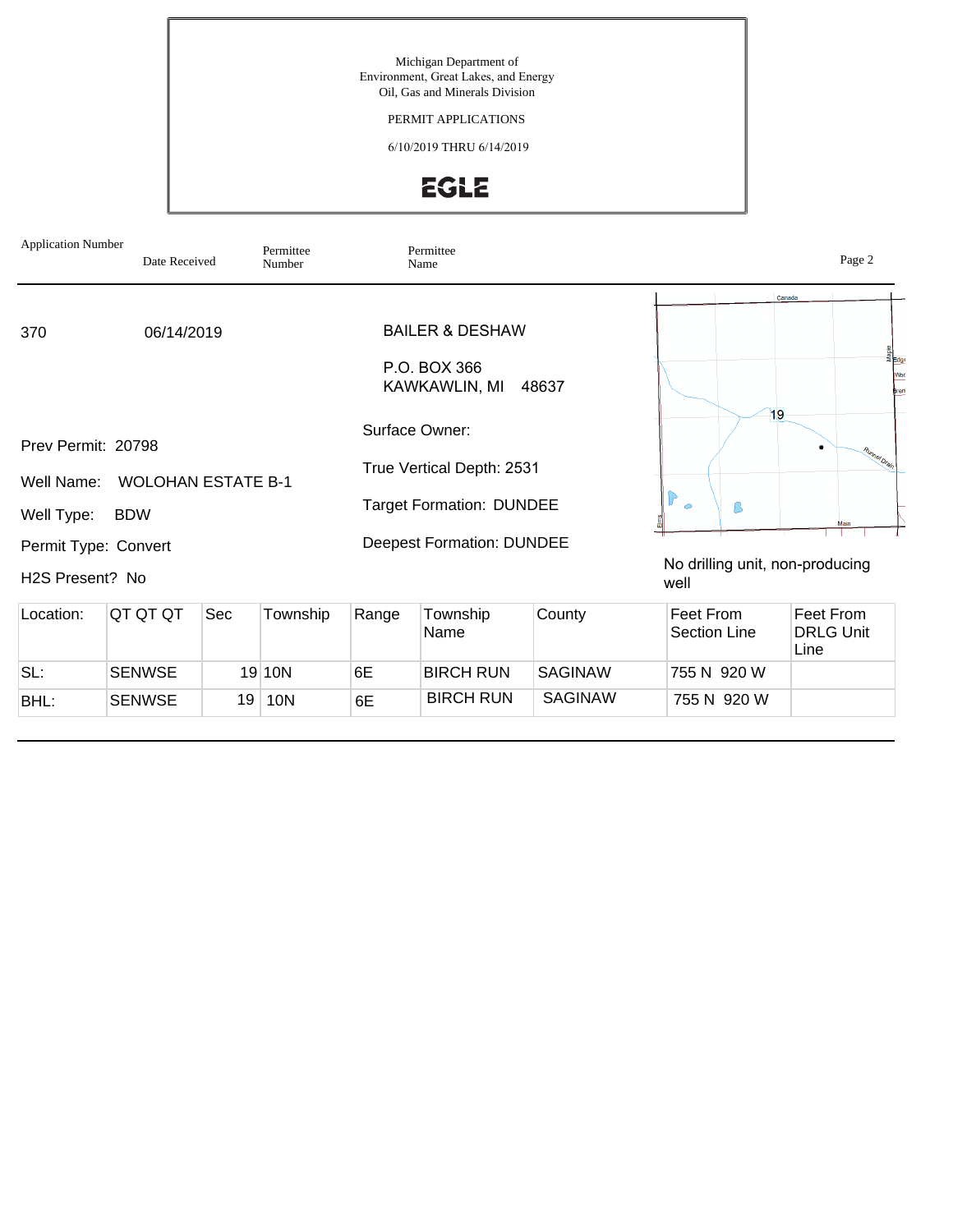Michigan Department of Environment, Great Lakes, and Energy Oil, Gas and Minerals Division

PERMIT APPLICATIONS

6/10/2019 THRU 6/14/2019

## EGLE

| <b>Application Number</b>                             | Date Received |     | Permittee<br>Number |       | Permittee<br>Name                |                |                                         | Page 2                                |
|-------------------------------------------------------|---------------|-----|---------------------|-------|----------------------------------|----------------|-----------------------------------------|---------------------------------------|
|                                                       |               |     |                     |       |                                  |                |                                         | Canada                                |
| 370                                                   | 06/14/2019    |     |                     |       | <b>BAILER &amp; DESHAW</b>       |                |                                         |                                       |
|                                                       |               |     |                     |       | P.O. BOX 366<br>KAWKAWLIN, MI    | 48637          |                                         | 효<br>통 <sub>Edg</sub><br>Woo<br>Bren  |
| Prev Permit: 20798                                    |               |     |                     |       | Surface Owner:                   |                | 19                                      |                                       |
| Well Name:                                            |               |     |                     |       | True Vertical Depth: 2531        |                |                                         | Runnel Drain                          |
| <b>WOLOHAN ESTATE B-1</b><br><b>BDW</b><br>Well Type: |               |     |                     |       | <b>Target Formation: DUNDEE</b>  |                | $\bullet$<br>ß                          | Main                                  |
| Permit Type: Convert                                  |               |     |                     |       | <b>Deepest Formation: DUNDEE</b> |                |                                         |                                       |
| H2S Present? No                                       |               |     |                     |       |                                  |                | No drilling unit, non-producing<br>well |                                       |
| Location:                                             | QT QT QT      | Sec | Township            | Range | Township<br>Name                 | County         | Feet From<br><b>Section Line</b>        | Feet From<br><b>DRLG Unit</b><br>Line |
| SL:                                                   | <b>SENWSE</b> |     | 19 10N              | 6E    | <b>BIRCH RUN</b>                 | <b>SAGINAW</b> | 755 N 920 W                             |                                       |

SENWSE 19 10N 6E BIRCH RUN SAGINAW 755 N 920 W

BHL: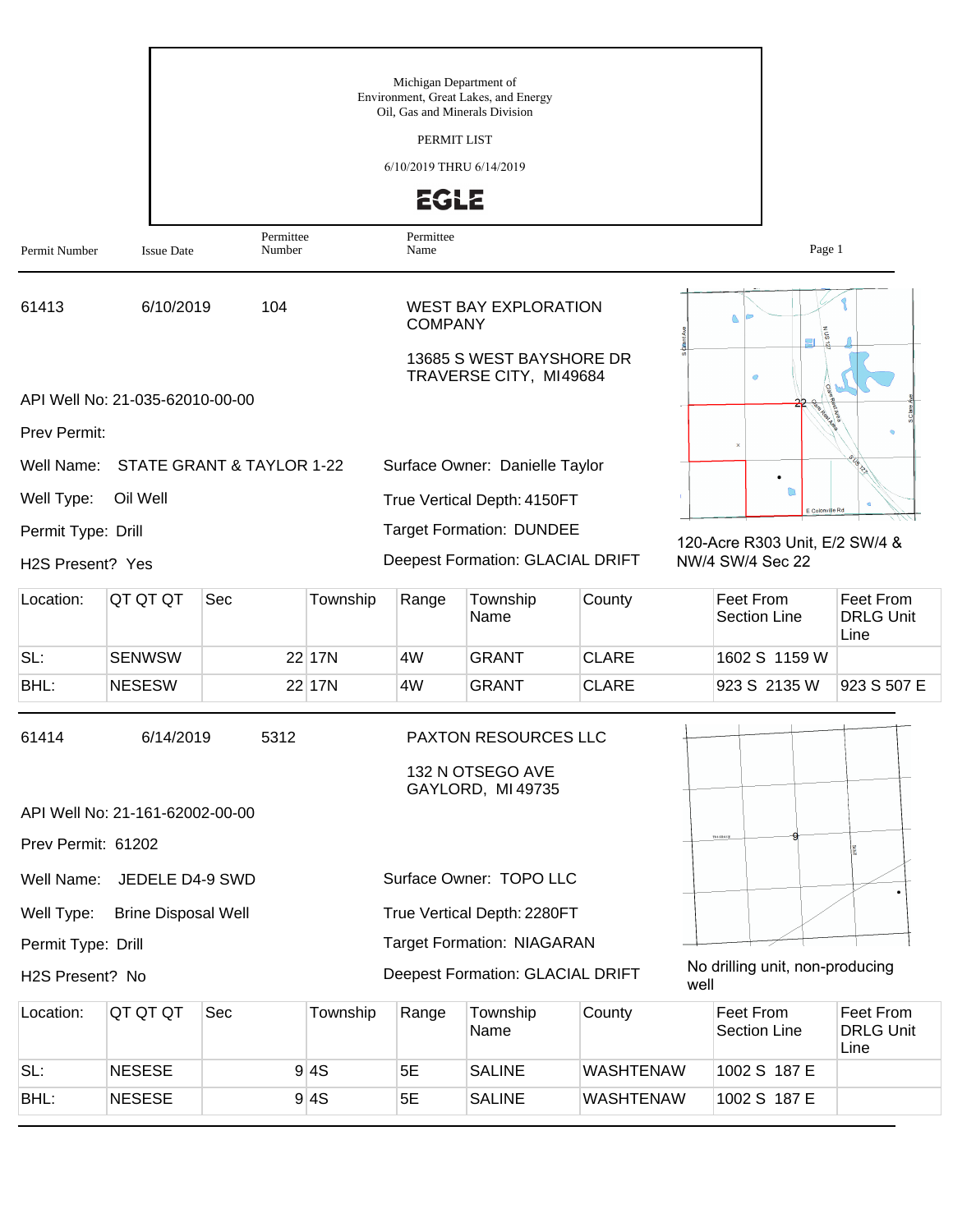|                    |                                 |                           |          | Michigan Department of<br>Oil, Gas and Minerals Division | Environment, Great Lakes, and Energy                    |                  |           |                                                    |                                       |
|--------------------|---------------------------------|---------------------------|----------|----------------------------------------------------------|---------------------------------------------------------|------------------|-----------|----------------------------------------------------|---------------------------------------|
|                    |                                 |                           |          | PERMIT LIST                                              |                                                         |                  |           |                                                    |                                       |
|                    |                                 |                           |          | 6/10/2019 THRU 6/14/2019                                 |                                                         |                  |           |                                                    |                                       |
|                    |                                 |                           |          | <b>EGLE</b>                                              |                                                         |                  |           |                                                    |                                       |
| Permit Number      | <b>Issue Date</b>               | Permittee<br>Number       |          | Permittee<br>Name                                        |                                                         |                  |           | Page 1                                             |                                       |
| 61413              | 6/10/2019                       | 104                       |          | <b>COMPANY</b>                                           | <b>WEST BAY EXPLORATION</b><br>13685 S WEST BAYSHORE DR |                  |           |                                                    |                                       |
|                    | API Well No: 21-035-62010-00-00 |                           |          |                                                          | TRAVERSE CITY, MI49684                                  |                  |           | $\circ$                                            |                                       |
| Prev Permit:       |                                 |                           |          |                                                          |                                                         |                  |           |                                                    |                                       |
| Well Name:         |                                 | STATE GRANT & TAYLOR 1-22 |          |                                                          | Surface Owner: Danielle Taylor                          |                  |           |                                                    |                                       |
| Well Type:         | Oil Well                        |                           |          |                                                          | True Vertical Depth: 4150FT                             |                  |           |                                                    |                                       |
| Permit Type: Drill |                                 |                           |          |                                                          | <b>Target Formation: DUNDEE</b>                         |                  |           | E Colonville Rd                                    |                                       |
| H2S Present? Yes   |                                 |                           |          |                                                          | Deepest Formation: GLACIAL DRIFT                        |                  |           | 120-Acre R303 Unit, E/2 SW/4 &<br>NW/4 SW/4 Sec 22 |                                       |
| Location:          | QT QT QT                        | Sec                       | Township | Range                                                    | Township                                                | County           |           | Feet From                                          | <b>Feet From</b>                      |
|                    |                                 |                           |          |                                                          | Name                                                    |                  |           | <b>Section Line</b>                                | <b>DRLG Unit</b><br>Line              |
| SL:                | <b>SENWSW</b>                   |                           | 22 17N   | 4W                                                       | <b>GRANT</b>                                            | <b>CLARE</b>     |           | 1602 S 1159 W                                      |                                       |
| BHL:               | <b>NESESW</b>                   |                           | 22 17N   | 4W                                                       | <b>GRANT</b>                                            | <b>CLARE</b>     |           | 923 S 2135 W                                       | 923 S 507 E                           |
| 61414              | 6/14/2019                       | 5312                      |          |                                                          | PAXTON RESOURCES LLC                                    |                  |           |                                                    |                                       |
|                    |                                 |                           |          |                                                          | 132 N OTSEGO AVE<br>GAYLORD, MI 49735                   |                  |           |                                                    |                                       |
|                    | API Well No: 21-161-62002-00-00 |                           |          |                                                          |                                                         |                  |           |                                                    |                                       |
| Prev Permit: 61202 |                                 |                           |          |                                                          |                                                         |                  | T04 SR05H |                                                    |                                       |
| Well Name:         | JEDELE D4-9 SWD                 |                           |          |                                                          | Surface Owner: TOPO LLC                                 |                  |           |                                                    |                                       |
| Well Type:         | <b>Brine Disposal Well</b>      |                           |          |                                                          | True Vertical Depth: 2280FT                             |                  |           |                                                    |                                       |
| Permit Type: Drill |                                 |                           |          |                                                          | <b>Target Formation: NIAGARAN</b>                       |                  |           |                                                    |                                       |
| H2S Present? No    |                                 |                           |          |                                                          | Deepest Formation: GLACIAL DRIFT                        |                  | well      | No drilling unit, non-producing                    |                                       |
| Location:          | QT QT QT                        | Sec                       | Township | Range                                                    | Township<br>Name                                        | County           |           | Feet From<br><b>Section Line</b>                   | Feet From<br><b>DRLG Unit</b><br>Line |
| SL:                | <b>NESESE</b>                   |                           | 9 4S     | 5E                                                       | <b>SALINE</b>                                           | <b>WASHTENAW</b> |           | 1002 S 187 E                                       |                                       |
| BHL:               | <b>NESESE</b>                   |                           | 9 4S     | 5E                                                       | <b>SALINE</b>                                           | WASHTENAW        |           | 1002 S 187 E                                       |                                       |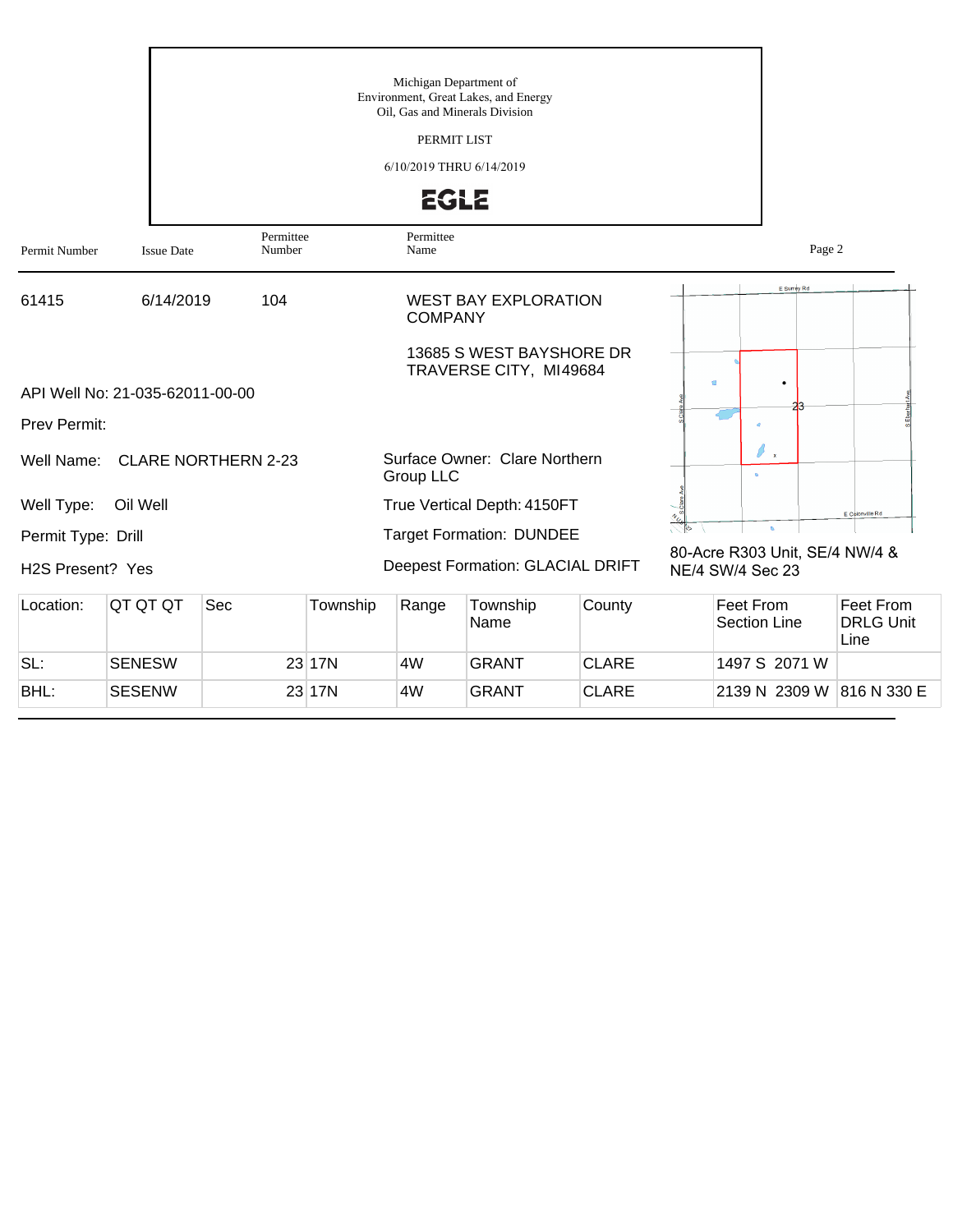|                               |                                 |                                |          | 6/10/2019 THRU 6/14/2019 | <b>EGLE</b>                                        |              |                  |                                |                                       |
|-------------------------------|---------------------------------|--------------------------------|----------|--------------------------|----------------------------------------------------|--------------|------------------|--------------------------------|---------------------------------------|
| Permit Number                 | <b>Issue Date</b>               | Permittee<br>Number            |          | Permittee<br>Name        |                                                    |              |                  | Page 2                         |                                       |
| 61415                         | 6/14/2019                       | 104                            |          | <b>COMPANY</b>           | <b>WEST BAY EXPLORATION</b>                        |              |                  | E Surrey Rd                    |                                       |
|                               | API Well No: 21-035-62011-00-00 |                                |          |                          | 13685 S WEST BAYSHORE DR<br>TRAVERSE CITY, MI49684 |              | C)               |                                |                                       |
| Prev Permit:                  |                                 |                                |          |                          |                                                    |              |                  |                                |                                       |
|                               |                                 | Well Name: CLARE NORTHERN 2-23 |          | Group LLC                | Surface Owner: Clare Northern                      |              |                  | ß<br>$\mathbf{x}$              |                                       |
| Well Type:                    | Oil Well                        |                                |          |                          | True Vertical Depth: 4150FT                        |              |                  |                                | E Colonville Rd                       |
| Permit Type: Drill            |                                 |                                |          |                          | <b>Target Formation: DUNDEE</b>                    |              |                  | $\mathbf{a}$                   |                                       |
| H <sub>2</sub> S Present? Yes |                                 |                                |          |                          | Deepest Formation: GLACIAL DRIFT                   |              | NE/4 SW/4 Sec 23 | 80-Acre R303 Unit, SE/4 NW/4 & |                                       |
| Location:                     | QT QT QT                        | Sec                            | Township | Range                    | Township<br>Name                                   | County       |                  | Feet From<br>Section Line      | Feet From<br><b>DRLG Unit</b><br>Line |
| SL:                           | <b>SENESW</b>                   |                                | 23 17N   | 4W                       | <b>GRANT</b>                                       | <b>CLARE</b> |                  | 1497 S 2071 W                  |                                       |
| BHL:                          | <b>SESENW</b>                   |                                | 23 17N   | 4W                       | <b>GRANT</b>                                       | <b>CLARE</b> |                  | 2139 N 2309 W 816 N 330 E      |                                       |